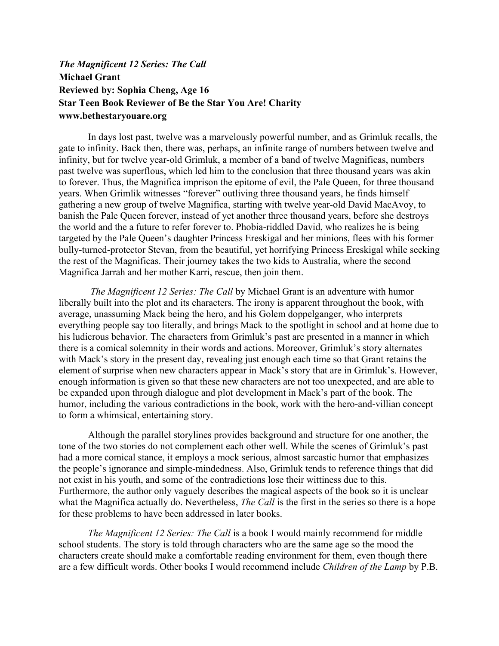## *The Magnificent 12 Series: The Call*  **Michael Grant Reviewed by: Sophia Cheng, Age 16 Star Teen Book Reviewer of Be the Star You Are! Charity www.bethestaryouare.org**

In days lost past, twelve was a marvelously powerful number, and as Grimluk recalls, the gate to infinity. Back then, there was, perhaps, an infinite range of numbers between twelve and infinity, but for twelve year-old Grimluk, a member of a band of twelve Magnificas, numbers past twelve was superflous, which led him to the conclusion that three thousand years was akin to forever. Thus, the Magnifica imprison the epitome of evil, the Pale Queen, for three thousand years. When Grimlik witnesses "forever" outliving three thousand years, he finds himself gathering a new group of twelve Magnifica, starting with twelve year-old David MacAvoy, to banish the Pale Queen forever, instead of yet another three thousand years, before she destroys the world and the a future to refer forever to. Phobia-riddled David, who realizes he is being targeted by the Pale Queen's daughter Princess Ereskigal and her minions, flees with his former bully-turned-protector Stevan, from the beautiful, yet horrifying Princess Ereskigal while seeking the rest of the Magnificas. Their journey takes the two kids to Australia, where the second Magnifica Jarrah and her mother Karri, rescue, then join them.

 *The Magnificent 12 Series: The Call* by Michael Grant is an adventure with humor liberally built into the plot and its characters. The irony is apparent throughout the book, with average, unassuming Mack being the hero, and his Golem doppelganger, who interprets everything people say too literally, and brings Mack to the spotlight in school and at home due to his ludicrous behavior. The characters from Grimluk's past are presented in a manner in which there is a comical solemnity in their words and actions. Moreover, Grimluk's story alternates with Mack's story in the present day, revealing just enough each time so that Grant retains the element of surprise when new characters appear in Mack's story that are in Grimluk's. However, enough information is given so that these new characters are not too unexpected, and are able to be expanded upon through dialogue and plot development in Mack's part of the book. The humor, including the various contradictions in the book, work with the hero-and-villian concept to form a whimsical, entertaining story.

Although the parallel storylines provides background and structure for one another, the tone of the two stories do not complement each other well. While the scenes of Grimluk's past had a more comical stance, it employs a mock serious, almost sarcastic humor that emphasizes the people's ignorance and simple-mindedness. Also, Grimluk tends to reference things that did not exist in his youth, and some of the contradictions lose their wittiness due to this. Furthermore, the author only vaguely describes the magical aspects of the book so it is unclear what the Magnifica actually do. Nevertheless, *The Call* is the first in the series so there is a hope for these problems to have been addressed in later books.

*The Magnificent 12 Series: The Call* is a book I would mainly recommend for middle school students. The story is told through characters who are the same age so the mood the characters create should make a comfortable reading environment for them, even though there are a few difficult words. Other books I would recommend include *Children of the Lamp* by P.B.